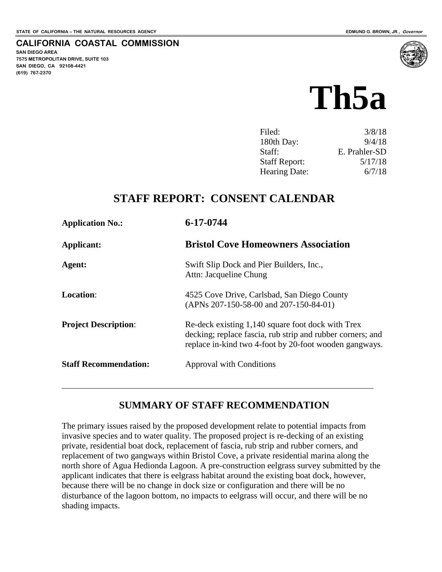# **CALIFORNIA COASTAL COMMISSION**

**SAN DIEGO AREA 7575 METROPOLITAN DRIVE, SUITE 103 SAN DIEGO, CA 92108-4421 (619) 767-2370**



| Filed:               | 3/8/18        |
|----------------------|---------------|
| 180th Day:           | 9/4/18        |
| Staff:               | E. Prahler-SD |
| <b>Staff Report:</b> | 5/17/18       |
| Hearing Date:        | 6/7/18        |
|                      |               |

# **STAFF REPORT: CONSENT CALENDAR**

| <b>Application No.:</b>      | 6-17-0744<br><b>Bristol Cove Homeowners Association</b>                                                                                                                   |  |
|------------------------------|---------------------------------------------------------------------------------------------------------------------------------------------------------------------------|--|
| Applicant:                   |                                                                                                                                                                           |  |
| Agent:                       | Swift Slip Dock and Pier Builders, Inc.,<br>Attn: Jacqueline Chung                                                                                                        |  |
| <b>Location:</b>             | 4525 Cove Drive, Carlsbad, San Diego County<br>(APNs 207-150-58-00 and 207-150-84-01)                                                                                     |  |
| <b>Project Description:</b>  | Re-deck existing 1,140 square foot dock with Trex<br>decking; replace fascia, rub strip and rubber corners; and<br>replace in-kind two 4-foot by 20-foot wooden gangways. |  |
| <b>Staff Recommendation:</b> | <b>Approval with Conditions</b>                                                                                                                                           |  |

## **SUMMARY OF STAFF RECOMMENDATION**

The primary issues raised by the proposed development relate to potential impacts from invasive species and to water quality. The proposed project is re-decking of an existing private, residential boat dock, replacement of fascia, rub strip and rubber corners, and replacement of two gangways within Bristol Cove, a private residential marina along the north shore of Agua Hedionda Lagoon. A pre-construction eelgrass survey submitted by the applicant indicates that there is eelgrass habitat around the existing boat dock, however, because there will be no change in dock size or configuration and there will be no disturbance of the lagoon bottom, no impacts to eelgrass will occur, and there will be no shading impacts.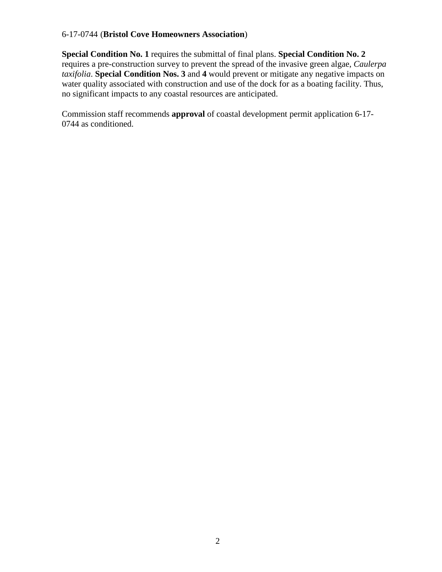**Special Condition No. 1** requires the submittal of final plans. **Special Condition No. 2** requires a pre-construction survey to prevent the spread of the invasive green algae, *Caulerpa taxifolia*. **Special Condition Nos. 3** and **4** would prevent or mitigate any negative impacts on water quality associated with construction and use of the dock for as a boating facility. Thus, no significant impacts to any coastal resources are anticipated.

Commission staff recommends **approval** of coastal development permit application 6-17- 0744 as conditioned.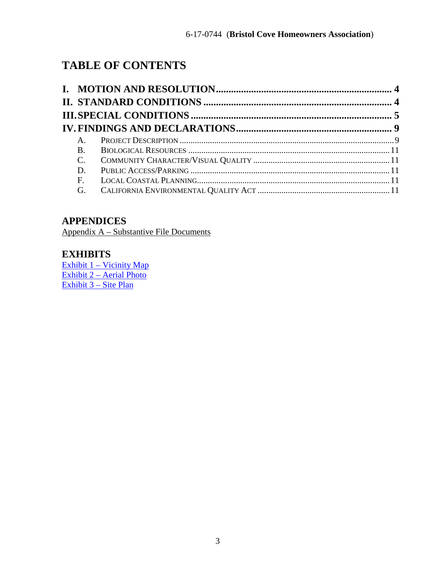# **TABLE OF CONTENTS**

| $A_{1}$     |  |
|-------------|--|
| <b>B.</b>   |  |
| $C_{\cdot}$ |  |
| D.          |  |
| $F_{\rm}$   |  |
| G.          |  |
|             |  |

# **APPENDICES**

Appendix A – Substantive File Documents

## **EXHIBITS**

[Exhibit 1 – Vicinity Map](https://documents.coastal.ca.gov/reports/2018/6/Th5a/Th5a-6-2018-report.pdf) [Exhibit 2 – Aerial Photo](https://documents.coastal.ca.gov/reports/2018/6/Th5a/Th5a-6-2018-report.pdf) [Exhibit 3 – Site Plan](https://documents.coastal.ca.gov/reports/2018/6/Th5a/Th5a-6-2018-report.pdf)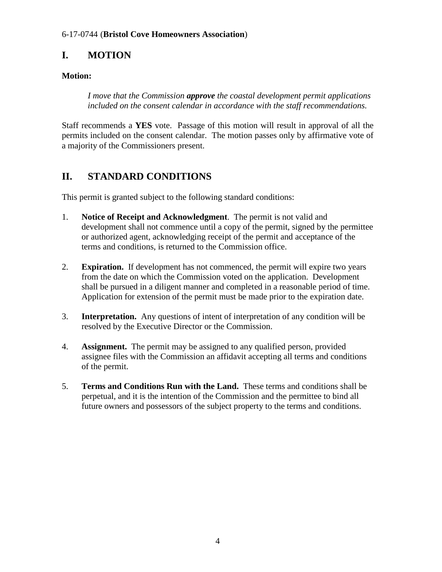# <span id="page-3-0"></span>**I. MOTION**

## **Motion:**

*I move that the Commission approve the coastal development permit applications included on the consent calendar in accordance with the staff recommendations.* 

Staff recommends a **YES** vote. Passage of this motion will result in approval of all the permits included on the consent calendar. The motion passes only by affirmative vote of a majority of the Commissioners present.

# <span id="page-3-1"></span>**II. STANDARD CONDITIONS**

This permit is granted subject to the following standard conditions:

- 1. **Notice of Receipt and Acknowledgment**. The permit is not valid and development shall not commence until a copy of the permit, signed by the permittee or authorized agent, acknowledging receipt of the permit and acceptance of the terms and conditions, is returned to the Commission office.
- 2. **Expiration.** If development has not commenced, the permit will expire two years from the date on which the Commission voted on the application. Development shall be pursued in a diligent manner and completed in a reasonable period of time. Application for extension of the permit must be made prior to the expiration date.
- 3. **Interpretation.** Any questions of intent of interpretation of any condition will be resolved by the Executive Director or the Commission.
- 4. **Assignment.** The permit may be assigned to any qualified person, provided assignee files with the Commission an affidavit accepting all terms and conditions of the permit.
- 5. **Terms and Conditions Run with the Land.** These terms and conditions shall be perpetual, and it is the intention of the Commission and the permittee to bind all future owners and possessors of the subject property to the terms and conditions.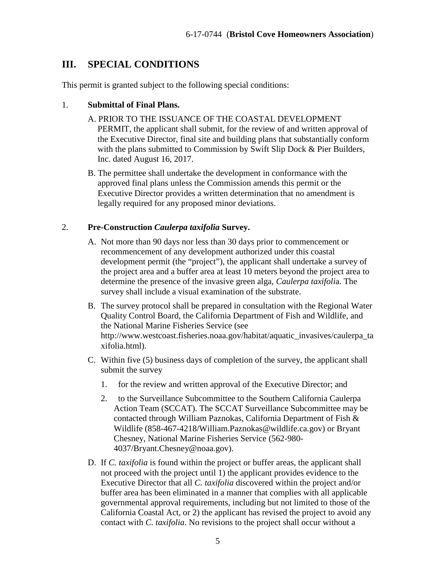# <span id="page-4-0"></span>**III. SPECIAL CONDITIONS**

This permit is granted subject to the following special conditions:

#### 1. **Submittal of Final Plans.**

A. PRIOR TO THE ISSUANCE OF THE COASTAL DEVELOPMENT

PERMIT, the applicant shall submit, for the review of and written approval of the Executive Director, final site and building plans that substantially conform with the plans submitted to Commission by Swift Slip Dock & Pier Builders, Inc. dated August 16, 2017.

B. The permittee shall undertake the development in conformance with the approved final plans unless the Commission amends this permit or the Executive Director provides a written determination that no amendment is legally required for any proposed minor deviations.

#### 2. **Pre-Construction** *Caulerpa taxifolia* **Survey.**

- A. Not more than 90 days nor less than 30 days prior to commencement or recommencement of any development authorized under this coastal development permit (the "project"), the applicant shall undertake a survey of the project area and a buffer area at least 10 meters beyond the project area to determine the presence of the invasive green alga, *Caulerpa taxifoli*a. The survey shall include a visual examination of the substrate.
- B. The survey protocol shall be prepared in consultation with the Regional Water Quality Control Board, the California Department of Fish and Wildlife, and the National Marine Fisheries Service (see http://www.westcoast.fisheries.noaa.gov/habitat/aquatic\_invasives/caulerpa\_ta xifolia.html).
- C. Within five (5) business days of completion of the survey, the applicant shall submit the survey
	- 1. for the review and written approval of the Executive Director; and
	- 2. to the Surveillance Subcommittee to the Southern California Caulerpa Action Team (SCCAT). The SCCAT Surveillance Subcommittee may be contacted through William Paznokas, California Department of Fish & Wildlife (858-467-4218/William.Paznokas@wildlife.ca.gov) or Bryant Chesney, National Marine Fisheries Service (562-980- 4037/Bryant.Chesney@noaa.gov).
- D. If *C. taxifolia* is found within the project or buffer areas, the applicant shall not proceed with the project until 1) the applicant provides evidence to the Executive Director that all *C. taxifolia* discovered within the project and/or buffer area has been eliminated in a manner that complies with all applicable governmental approval requirements, including but not limited to those of the California Coastal Act, or 2) the applicant has revised the project to avoid any contact with *C. taxifolia*. No revisions to the project shall occur without a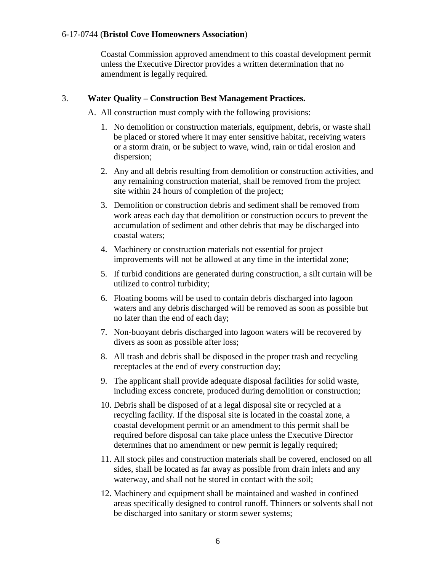Coastal Commission approved amendment to this coastal development permit unless the Executive Director provides a written determination that no amendment is legally required.

#### 3. **Water Quality – Construction Best Management Practices.**

A. All construction must comply with the following provisions:

- 1. No demolition or construction materials, equipment, debris, or waste shall be placed or stored where it may enter sensitive habitat, receiving waters or a storm drain, or be subject to wave, wind, rain or tidal erosion and dispersion;
- 2. Any and all debris resulting from demolition or construction activities, and any remaining construction material, shall be removed from the project site within 24 hours of completion of the project;
- 3. Demolition or construction debris and sediment shall be removed from work areas each day that demolition or construction occurs to prevent the accumulation of sediment and other debris that may be discharged into coastal waters;
- 4. Machinery or construction materials not essential for project improvements will not be allowed at any time in the intertidal zone;
- 5. If turbid conditions are generated during construction, a silt curtain will be utilized to control turbidity;
- 6. Floating booms will be used to contain debris discharged into lagoon waters and any debris discharged will be removed as soon as possible but no later than the end of each day;
- 7. Non-buoyant debris discharged into lagoon waters will be recovered by divers as soon as possible after loss;
- 8. All trash and debris shall be disposed in the proper trash and recycling receptacles at the end of every construction day;
- 9. The applicant shall provide adequate disposal facilities for solid waste, including excess concrete, produced during demolition or construction;
- 10. Debris shall be disposed of at a legal disposal site or recycled at a recycling facility. If the disposal site is located in the coastal zone, a coastal development permit or an amendment to this permit shall be required before disposal can take place unless the Executive Director determines that no amendment or new permit is legally required;
- 11. All stock piles and construction materials shall be covered, enclosed on all sides, shall be located as far away as possible from drain inlets and any waterway, and shall not be stored in contact with the soil;
- 12. Machinery and equipment shall be maintained and washed in confined areas specifically designed to control runoff. Thinners or solvents shall not be discharged into sanitary or storm sewer systems;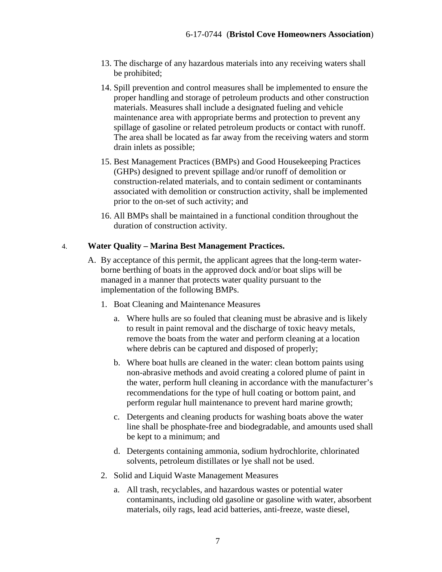- 13. The discharge of any hazardous materials into any receiving waters shall be prohibited;
- 14. Spill prevention and control measures shall be implemented to ensure the proper handling and storage of petroleum products and other construction materials. Measures shall include a designated fueling and vehicle maintenance area with appropriate berms and protection to prevent any spillage of gasoline or related petroleum products or contact with runoff. The area shall be located as far away from the receiving waters and storm drain inlets as possible;
- 15. Best Management Practices (BMPs) and Good Housekeeping Practices (GHPs) designed to prevent spillage and/or runoff of demolition or construction-related materials, and to contain sediment or contaminants associated with demolition or construction activity, shall be implemented prior to the on-set of such activity; and
- 16. All BMPs shall be maintained in a functional condition throughout the duration of construction activity.

#### 4. **Water Quality – Marina Best Management Practices.**

- A. By acceptance of this permit, the applicant agrees that the long-term waterborne berthing of boats in the approved dock and/or boat slips will be managed in a manner that protects water quality pursuant to the implementation of the following BMPs.
	- 1. Boat Cleaning and Maintenance Measures
		- a. Where hulls are so fouled that cleaning must be abrasive and is likely to result in paint removal and the discharge of toxic heavy metals, remove the boats from the water and perform cleaning at a location where debris can be captured and disposed of properly;
		- b. Where boat hulls are cleaned in the water: clean bottom paints using non-abrasive methods and avoid creating a colored plume of paint in the water, perform hull cleaning in accordance with the manufacturer's recommendations for the type of hull coating or bottom paint, and perform regular hull maintenance to prevent hard marine growth;
		- c. Detergents and cleaning products for washing boats above the water line shall be phosphate-free and biodegradable, and amounts used shall be kept to a minimum; and
		- d. Detergents containing ammonia, sodium hydrochlorite, chlorinated solvents, petroleum distillates or lye shall not be used.
	- 2. Solid and Liquid Waste Management Measures
		- a. All trash, recyclables, and hazardous wastes or potential water contaminants, including old gasoline or gasoline with water, absorbent materials, oily rags, lead acid batteries, anti-freeze, waste diesel,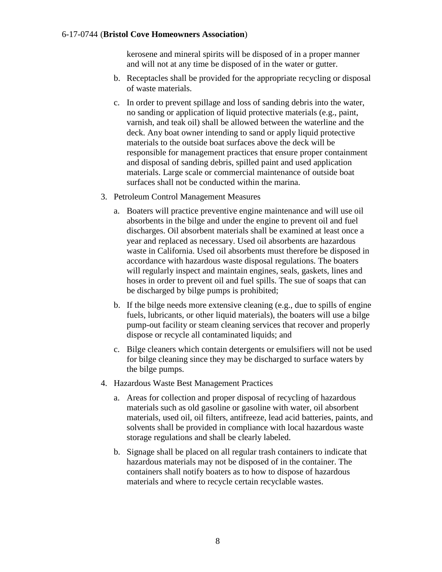kerosene and mineral spirits will be disposed of in a proper manner and will not at any time be disposed of in the water or gutter.

- b. Receptacles shall be provided for the appropriate recycling or disposal of waste materials.
- c. In order to prevent spillage and loss of sanding debris into the water, no sanding or application of liquid protective materials (e.g., paint, varnish, and teak oil) shall be allowed between the waterline and the deck. Any boat owner intending to sand or apply liquid protective materials to the outside boat surfaces above the deck will be responsible for management practices that ensure proper containment and disposal of sanding debris, spilled paint and used application materials. Large scale or commercial maintenance of outside boat surfaces shall not be conducted within the marina.
- 3. Petroleum Control Management Measures
	- a. Boaters will practice preventive engine maintenance and will use oil absorbents in the bilge and under the engine to prevent oil and fuel discharges. Oil absorbent materials shall be examined at least once a year and replaced as necessary. Used oil absorbents are hazardous waste in California. Used oil absorbents must therefore be disposed in accordance with hazardous waste disposal regulations. The boaters will regularly inspect and maintain engines, seals, gaskets, lines and hoses in order to prevent oil and fuel spills. The sue of soaps that can be discharged by bilge pumps is prohibited;
	- b. If the bilge needs more extensive cleaning (e.g., due to spills of engine fuels, lubricants, or other liquid materials), the boaters will use a bilge pump-out facility or steam cleaning services that recover and properly dispose or recycle all contaminated liquids; and
	- c. Bilge cleaners which contain detergents or emulsifiers will not be used for bilge cleaning since they may be discharged to surface waters by the bilge pumps.
- 4. Hazardous Waste Best Management Practices
	- a. Areas for collection and proper disposal of recycling of hazardous materials such as old gasoline or gasoline with water, oil absorbent materials, used oil, oil filters, antifreeze, lead acid batteries, paints, and solvents shall be provided in compliance with local hazardous waste storage regulations and shall be clearly labeled.
	- b. Signage shall be placed on all regular trash containers to indicate that hazardous materials may not be disposed of in the container. The containers shall notify boaters as to how to dispose of hazardous materials and where to recycle certain recyclable wastes.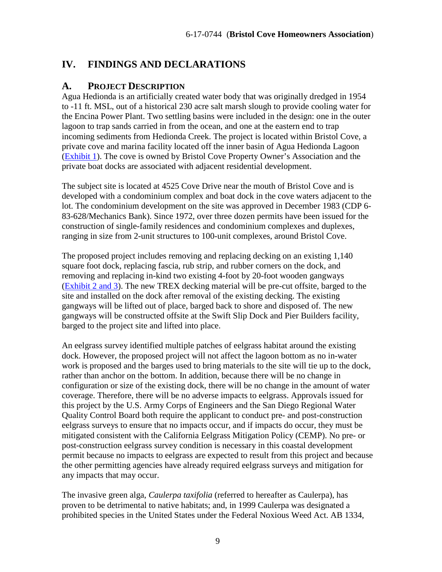# <span id="page-8-0"></span>**IV. FINDINGS AND DECLARATIONS**

### <span id="page-8-1"></span>**A. PROJECT DESCRIPTION**

Agua Hedionda is an artificially created water body that was originally dredged in 1954 to -11 ft. MSL, out of a historical 230 acre salt marsh slough to provide cooling water for the Encina Power Plant. Two settling basins were included in the design: one in the outer lagoon to trap sands carried in from the ocean, and one at the eastern end to trap incoming sediments from Hedionda Creek. The project is located within Bristol Cove, a private cove and marina facility located off the inner basin of Agua Hedionda Lagoon [\(Exhibit 1\)](https://documents.coastal.ca.gov/reports/2018/6/Th5a/Th5a-6-2018-report.pdf). The cove is owned by Bristol Cove Property Owner's Association and the private boat docks are associated with adjacent residential development.

The subject site is located at 4525 Cove Drive near the mouth of Bristol Cove and is developed with a condominium complex and boat dock in the cove waters adjacent to the lot. The condominium development on the site was approved in December 1983 (CDP 6- 83-628/Mechanics Bank). Since 1972, over three dozen permits have been issued for the construction of single-family residences and condominium complexes and duplexes, ranging in size from 2-unit structures to 100-unit complexes, around Bristol Cove.

The proposed project includes removing and replacing decking on an existing 1,140 square foot dock, replacing fascia, rub strip, and rubber corners on the dock, and removing and replacing in-kind two existing 4-foot by 20-foot wooden gangways [\(Exhibit 2](https://documents.coastal.ca.gov/reports/2018/6/Th5a/Th5a-6-2018-report.pdf) and 3). The new TREX decking material will be pre-cut offsite, barged to the site and installed on the dock after removal of the existing decking. The existing gangways will be lifted out of place, barged back to shore and disposed of. The new gangways will be constructed offsite at the Swift Slip Dock and Pier Builders facility, barged to the project site and lifted into place.

An eelgrass survey identified multiple patches of eelgrass habitat around the existing dock. However, the proposed project will not affect the lagoon bottom as no in-water work is proposed and the barges used to bring materials to the site will tie up to the dock, rather than anchor on the bottom. In addition, because there will be no change in configuration or size of the existing dock, there will be no change in the amount of water coverage. Therefore, there will be no adverse impacts to eelgrass. Approvals issued for this project by the U.S. Army Corps of Engineers and the San Diego Regional Water Quality Control Board both require the applicant to conduct pre- and post-construction eelgrass surveys to ensure that no impacts occur, and if impacts do occur, they must be mitigated consistent with the California Eelgrass Mitigation Policy (CEMP). No pre- or post-construction eelgrass survey condition is necessary in this coastal development permit because no impacts to eelgrass are expected to result from this project and because the other permitting agencies have already required eelgrass surveys and mitigation for any impacts that may occur.

The invasive green alga, *Caulerpa taxifolia* (referred to hereafter as Caulerpa), has proven to be detrimental to native habitats; and, in 1999 Caulerpa was designated a prohibited species in the United States under the Federal Noxious Weed Act. AB 1334,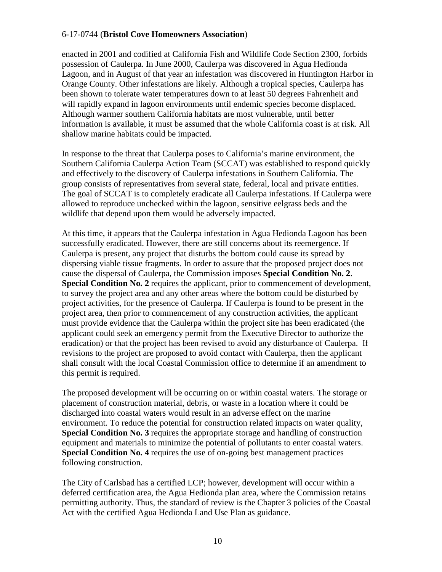enacted in 2001 and codified at California Fish and Wildlife Code Section 2300, forbids possession of Caulerpa. In June 2000, Caulerpa was discovered in Agua Hedionda Lagoon, and in August of that year an infestation was discovered in Huntington Harbor in Orange County. Other infestations are likely. Although a tropical species, Caulerpa has been shown to tolerate water temperatures down to at least 50 degrees Fahrenheit and will rapidly expand in lagoon environments until endemic species become displaced. Although warmer southern California habitats are most vulnerable, until better information is available, it must be assumed that the whole California coast is at risk. All shallow marine habitats could be impacted.

In response to the threat that Caulerpa poses to California's marine environment, the Southern California Caulerpa Action Team (SCCAT) was established to respond quickly and effectively to the discovery of Caulerpa infestations in Southern California. The group consists of representatives from several state, federal, local and private entities. The goal of SCCAT is to completely eradicate all Caulerpa infestations. If Caulerpa were allowed to reproduce unchecked within the lagoon, sensitive eelgrass beds and the wildlife that depend upon them would be adversely impacted.

At this time, it appears that the Caulerpa infestation in Agua Hedionda Lagoon has been successfully eradicated. However, there are still concerns about its reemergence. If Caulerpa is present, any project that disturbs the bottom could cause its spread by dispersing viable tissue fragments. In order to assure that the proposed project does not cause the dispersal of Caulerpa, the Commission imposes **Special Condition No. 2**. **Special Condition No. 2** requires the applicant, prior to commencement of development, to survey the project area and any other areas where the bottom could be disturbed by project activities, for the presence of Caulerpa. If Caulerpa is found to be present in the project area, then prior to commencement of any construction activities, the applicant must provide evidence that the Caulerpa within the project site has been eradicated (the applicant could seek an emergency permit from the Executive Director to authorize the eradication) or that the project has been revised to avoid any disturbance of Caulerpa. If revisions to the project are proposed to avoid contact with Caulerpa, then the applicant shall consult with the local Coastal Commission office to determine if an amendment to this permit is required.

The proposed development will be occurring on or within coastal waters. The storage or placement of construction material, debris, or waste in a location where it could be discharged into coastal waters would result in an adverse effect on the marine environment. To reduce the potential for construction related impacts on water quality, **Special Condition No. 3** requires the appropriate storage and handling of construction equipment and materials to minimize the potential of pollutants to enter coastal waters. **Special Condition No. 4** requires the use of on-going best management practices following construction.

The City of Carlsbad has a certified LCP; however, development will occur within a deferred certification area, the Agua Hedionda plan area, where the Commission retains permitting authority. Thus, the standard of review is the Chapter 3 policies of the Coastal Act with the certified Agua Hedionda Land Use Plan as guidance.